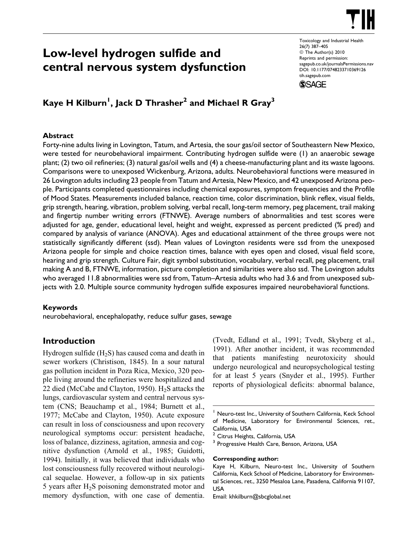

# Low-level hydrogen sulfide and central nervous system dysfunction

Toxicology and Industrial Health 26(7) 387–405  $©$  The Author(s) 2010 Reprints and permission: sagepub.co.uk/journalsPermissions.nav DOI: 10.1177/0748233710369126 tih.sagepub.com



# Kaye H Kilburn<sup>1</sup>, Jack D Thrasher $^{\text{2}}$  and Michael R Gray $^{\text{3}}$

### Abstract

Forty-nine adults living in Lovington, Tatum, and Artesia, the sour gas/oil sector of Southeastern New Mexico, were tested for neurobehavioral impairment. Contributing hydrogen sulfide were (1) an anaerobic sewage plant; (2) two oil refineries; (3) natural gas/oil wells and (4) a cheese-manufacturing plant and its waste lagoons. Comparisons were to unexposed Wickenburg, Arizona, adults. Neurobehavioral functions were measured in 26 Lovington adults including 23 people from Tatum and Artesia, New Mexico, and 42 unexposed Arizona people. Participants completed questionnaires including chemical exposures, symptom frequencies and the Profile of Mood States. Measurements included balance, reaction time, color discrimination, blink reflex, visual fields, grip strength, hearing, vibration, problem solving, verbal recall, long-term memory, peg placement, trail making and fingertip number writing errors (FTNWE). Average numbers of abnormalities and test scores were adjusted for age, gender, educational level, height and weight, expressed as percent predicted (% pred) and compared by analysis of variance (ANOVA). Ages and educational attainment of the three groups were not statistically significantly different (ssd). Mean values of Lovington residents were ssd from the unexposed Arizona people for simple and choice reaction times, balance with eyes open and closed, visual field score, hearing and grip strength. Culture Fair, digit symbol substitution, vocabulary, verbal recall, peg placement, trail making A and B, FTNWE, information, picture completion and similarities were also ssd. The Lovington adults who averaged 11.8 abnormalities were ssd from, Tatum–Artesia adults who had 3.6 and from unexposed subjects with 2.0. Multiple source community hydrogen sulfide exposures impaired neurobehavioral functions.

### Keywords

neurobehavioral, encephalopathy, reduce sulfur gases, sewage

# Introduction

Hydrogen sulfide  $(H_2S)$  has caused coma and death in sewer workers (Christison, 1845). In a sour natural gas pollution incident in Poza Rica, Mexico, 320 people living around the refineries were hospitalized and 22 died (McCabe and Clayton, 1950).  $H_2S$  attacks the lungs, cardiovascular system and central nervous system (CNS; Beauchamp et al., 1984; Burnett et al., 1977; McCabe and Clayton, 1950). Acute exposure can result in loss of consciousness and upon recovery neurological symptoms occur: persistent headache, loss of balance, dizziness, agitation, amnesia and cognitive dysfunction (Arnold et al., 1985; Guidotti, 1994). Initially, it was believed that individuals who lost consciousness fully recovered without neurological sequelae. However, a follow-up in six patients 5 years after  $H_2S$  poisoning demonstrated motor and memory dysfunction, with one case of dementia.

(Tvedt, Edland et al., 1991; Tvedt, Skyberg et al., 1991). After another incident, it was recommended that patients manifesting neurotoxicity should undergo neurological and neuropsychological testing for at least 5 years (Snyder et al., 1995). Further reports of physiological deficits: abnormal balance,

#### Corresponding author:

<sup>&</sup>lt;sup>1</sup> Neuro-test Inc., University of Southern California, Keck School of Medicine, Laboratory for Environmental Sciences, ret., California, USA

Citrus Heights, California, USA

<sup>&</sup>lt;sup>3</sup> Progressive Health Care, Benson, Arizona, USA

Kaye H, Kilburn, Neuro-test Inc., University of Southern California, Keck School of Medicine, Laboratory for Environmental Sciences, ret., 3250 Mesaloa Lane, Pasadena, California 91107, USA

Email: khkilburn@sbcglobal.net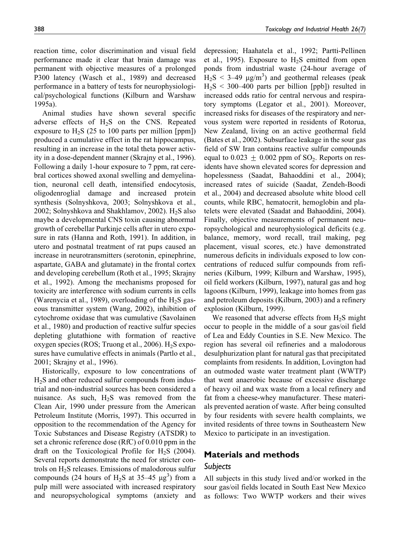reaction time, color discrimination and visual field performance made it clear that brain damage was permanent with objective measures of a prolonged P300 latency (Wasch et al., 1989) and decreased performance in a battery of tests for neurophysiological/psychological functions (Kilburn and Warshaw 1995a).

Animal studies have shown several specific adverse effects of  $H_2S$  on the CNS. Repeated exposure to  $H_2S$  (25 to 100 parts per million [ppm]) produced a cumulative effect in the rat hippocampus, resulting in an increase in the total theta power activity in a dose-dependent manner (Skrajny et al., 1996). Following a daily 1-hour exposure to 7 ppm, rat cerebral cortices showed axonal swelling and demyelination, neuronal cell death, intensified endocytosis, oligodenroglial damage and increased protein synthesis (Solnyshkova, 2003; Solnyshkova et al., 2002; Solnyshkova and Shakhlamov, 2002).  $H_2S$  also maybe a developmental CNS toxin causing abnormal growth of cerebellar Purkinje cells after in utero exposure in rats (Hanna and Roth, 1991). In addition, in utero and postnatal treatment of rat pups caused an increase in neurotransmitters (serotonin, epinephrine, aspartate, GABA and glutamate) in the frontal cortex and developing cerebellum (Roth et al., 1995; Skrajny et al., 1992). Among the mechanisms proposed for toxicity are interference with sodium currents in cells (Warenycia et al., 1989), overloading of the  $H_2S$  gaseous transmitter system (Wang, 2002), inhibition of cytochrome oxidase that was cumulative (Savolainen et al., 1980) and production of reactive sulfur species depleting glutathione with formation of reactive oxygen species (ROS; Truong et al., 2006).  $H_2S$  exposures have cumulative effects in animals (Partlo et al., 2001; Skrajny et al., 1996).

Historically, exposure to low concentrations of H2S and other reduced sulfur compounds from industrial and non-industrial sources has been considered a nuisance. As such,  $H_2S$  was removed from the Clean Air, 1990 under pressure from the American Petroleum Institute (Morris, 1997). This occurred in opposition to the recommendation of the Agency for Toxic Substances and Disease Registry (ATSDR) to set a chronic reference dose (RfC) of 0.010 ppm in the draft on the Toxicological Profile for  $H_2S$  (2004). Several reports demonstrate the need for stricter controls on  $H_2S$  releases. Emissions of malodorous sulfur compounds (24 hours of  $H_2S$  at 35–45  $\mu$ g<sup>3</sup>) from a pulp mill were associated with increased respiratory and neuropsychological symptoms (anxiety and

depression; Haahatela et al., 1992; Partti-Pellinen et al., 1995). Exposure to  $H_2S$  emitted from open ponds from industrial waste (24-hour average of  $H_2S < 3-49 \text{ }\mu\text{g/m}^3$ ) and geothermal releases (peak  $H<sub>2</sub>S < 300-400$  parts per billion [ppb]) resulted in increased odds ratio for central nervous and respiratory symptoms (Legator et al., 2001). Moreover, increased risks for diseases of the respiratory and nervous system were reported in residents of Rotorua, New Zealand, living on an active geothermal field (Bates et al., 2002). Subsurface leakage in the sour gas field of SW Iran contains reactive sulfur compounds equal to  $0.023 \pm 0.002$  ppm of SO<sub>2</sub>. Reports on residents have shown elevated scores for depression and hopelessness (Saadat, Bahaoddini et al., 2004); increased rates of suicide (Saadat, Zendeh-Boodi et al., 2004) and decreased absolute white blood cell counts, while RBC, hematocrit, hemoglobin and platelets were elevated (Saadat and Bahaoddini, 2004). Finally, objective measurements of permanent neuropsychological and neurophysiological deficits (e.g. balance, memory, word recall, trail making, peg placement, visual scores, etc.) have demonstrated numerous deficits in individuals exposed to low concentrations of reduced sulfur compounds from refineries (Kilburn, 1999; Kilburn and Warshaw, 1995), oil field workers (Kilburn, 1997), natural gas and hog lagoons (Kilburn, 1999), leakage into homes from gas and petroleum deposits (Kilburn, 2003) and a refinery explosion (Kilburn, 1999).

We reasoned that adverse effects from  $H_2S$  might occur to people in the middle of a sour gas/oil field of Lea and Eddy Counties in S.E. New Mexico. The region has several oil refineries and a malodorous desulphurization plant for natural gas that precipitated complaints from residents. In addition, Lovington had an outmoded waste water treatment plant (WWTP) that went anaerobic because of excessive discharge of heavy oil and wax waste from a local refinery and fat from a cheese-whey manufacturer. These materials prevented aeration of waste. After being consulted by four residents with severe health complaints, we invited residents of three towns in Southeastern New Mexico to participate in an investigation.

### Materials and methods

#### Subjects

All subjects in this study lived and/or worked in the sour gas/oil fields located in South East New Mexico as follows: Two WWTP workers and their wives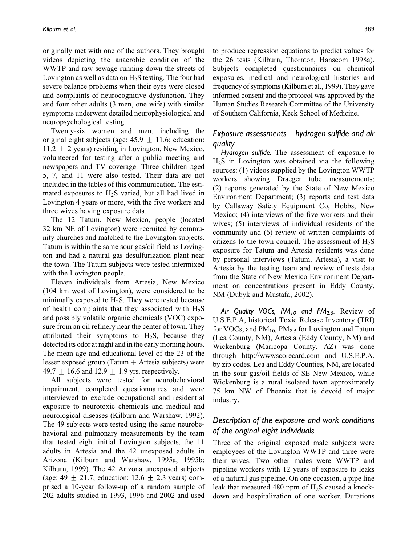originally met with one of the authors. They brought videos depicting the anaerobic condition of the WWTP and raw sewage running down the streets of Lovington as well as data on  $H_2S$  testing. The four had severe balance problems when their eyes were closed and complaints of neurocognitive dysfunction. They and four other adults (3 men, one wife) with similar symptoms underwent detailed neurophysiological and neuropsychological testing.

Twenty-six women and men, including the original eight subjects (age:  $45.9 + 11.6$ ; education:  $11.2 \pm 2$  years) residing in Lovington, New Mexico, volunteered for testing after a public meeting and newspapers and TV coverage. Three children aged 5, 7, and 11 were also tested. Their data are not included in the tables of this communication. The estimated exposures to  $H_2S$  varied, but all had lived in Lovington 4 years or more, with the five workers and three wives having exposure data.

The 12 Tatum, New Mexico, people (located 32 km NE of Lovington) were recruited by community churches and matched to the Lovington subjects. Tatum is within the same sour gas/oil field as Lovington and had a natural gas desulfurization plant near the town. The Tatum subjects were tested intermixed with the Lovington people.

Eleven individuals from Artesia, New Mexico (104 km west of Lovington), were considered to be minimally exposed to  $H_2S$ . They were tested because of health complaints that they associated with  $H_2S$ and possibly volatile organic chemicals (VOC) exposure from an oil refinery near the center of town. They attributed their symptoms to  $H_2S$ , because they detected its odor at night and in the early morning hours. The mean age and educational level of the 23 of the lesser exposed group (Tatum  $+$  Artesia subjects) were 49.7  $\pm$  16.6 and 12.9  $\pm$  1.9 yrs, respectively.

All subjects were tested for neurobehavioral impairment, completed questionnaires and were interviewed to exclude occupational and residential exposure to neurotoxic chemicals and medical and neurological diseases (Kilburn and Warshaw, 1992). The 49 subjects were tested using the same neurobehavioral and pulmonary measurements by the team that tested eight initial Lovington subjects, the 11 adults in Artesia and the 42 unexposed adults in Arizona (Kilburn and Warshaw, 1995a, 1995b; Kilburn, 1999). The 42 Arizona unexposed subjects (age: 49  $\pm$  21.7; education: 12.6  $\pm$  2.3 years) comprised a 10-year follow-up of a random sample of 202 adults studied in 1993, 1996 and 2002 and used

to produce regression equations to predict values for the 26 tests (Kilburn, Thornton, Hanscom 1998a). Subjects completed questionnaires on chemical exposures, medical and neurological histories and frequency of symptoms (Kilburn et al., 1999). They gave informed consent and the protocol was approved by the Human Studies Research Committee of the University of Southern California, Keck School of Medicine.

### Exposure assessments – hydrogen sulfide and air quality

Hydrogen sulfide. The assessment of exposure to  $H<sub>2</sub>S$  in Lovington was obtained via the following sources: (1) videos supplied by the Lovington WWTP workers showing Draeger tube measurements; (2) reports generated by the State of New Mexico Environment Department; (3) reports and test data by Callaway Safety Equipment Co, Hobbs, New Mexico; (4) interviews of the five workers and their wives; (5) interviews of individual residents of the community and (6) review of written complaints of citizens to the town council. The assessment of  $H_2S$ exposure for Tatum and Artesia residents was done by personal interviews (Tatum, Artesia), a visit to Artesia by the testing team and review of tests data from the State of New Mexico Environment Department on concentrations present in Eddy County, NM (Dubyk and Mustafa, 2002).

Air Quality VOCs,  $PM_{10}$  and  $PM_{2.5}$ . Review of U.S.E.P.A, historical Toxic Release Inventory (TRI) for VOCs, and  $PM_{10}$ ,  $PM_{2.5}$  for Lovington and Tatum (Lea County, NM), Artesia (Eddy County, NM) and Wickenburg (Maricopa County, AZ) was done through http://wwwscorecard.com and U.S.E.P.A. by zip codes. Lea and Eddy Counties, NM, are located in the sour gas/oil fields of SE New Mexico, while Wickenburg is a rural isolated town approximately 75 km NW of Phoenix that is devoid of major industry.

## Description of the exposure and work conditions of the original eight individuals

Three of the original exposed male subjects were employees of the Lovington WWTP and three were their wives. Two other males were WWTP and pipeline workers with 12 years of exposure to leaks of a natural gas pipeline. On one occasion, a pipe line leak that measured 480 ppm of  $H_2S$  caused a knockdown and hospitalization of one worker. Durations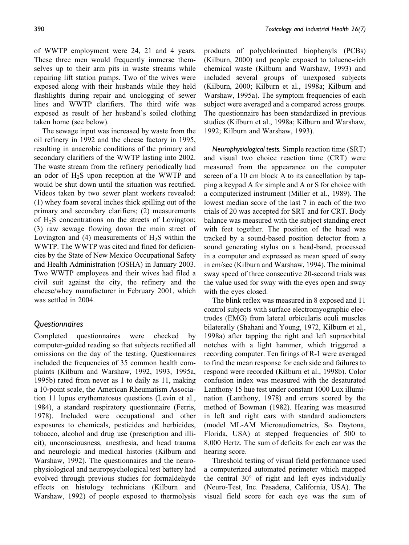of WWTP employment were 24, 21 and 4 years. These three men would frequently immerse themselves up to their arm pits in waste streams while repairing lift station pumps. Two of the wives were exposed along with their husbands while they held flashlights during repair and unclogging of sewer lines and WWTP clarifiers. The third wife was exposed as result of her husband's soiled clothing taken home (see below).

The sewage input was increased by waste from the oil refinery in 1992 and the cheese factory in 1995, resulting in anaerobic conditions of the primary and secondary clarifiers of the WWTP lasting into 2002. The waste stream from the refinery periodically had an odor of  $H_2S$  upon reception at the WWTP and would be shut down until the situation was rectified. Videos taken by two sewer plant workers revealed: (1) whey foam several inches thick spilling out of the primary and secondary clarifiers; (2) measurements of H2S concentrations on the streets of Lovington; (3) raw sewage flowing down the main street of Lovington and (4) measurements of  $H_2S$  within the WWTP. The WWTP was cited and fined for deficiencies by the State of New Mexico Occupational Safety and Health Administration (OSHA) in January 2003. Two WWTP employees and their wives had filed a civil suit against the city, the refinery and the cheese/whey manufacturer in February 2001, which was settled in 2004.

### **Questionnaires**

Completed questionnaires were checked by computer-guided reading so that subjects rectified all omissions on the day of the testing. Questionnaires included the frequencies of 35 common health complaints (Kilburn and Warshaw, 1992, 1993, 1995a, 1995b) rated from never as 1 to daily as 11, making a 10-point scale, the American Rheumatism Association 11 lupus erythematosus questions (Levin et al., 1984), a standard respiratory questionnaire (Ferris, 1978). Included were occupational and other exposures to chemicals, pesticides and herbicides, tobacco, alcohol and drug use (prescription and illicit), unconsciousness, anesthesia, and head trauma and neurologic and medical histories (Kilburn and Warshaw, 1992). The questionnaires and the neurophysiological and neuropsychological test battery had evolved through previous studies for formaldehyde effects on histology technicians (Kilburn and Warshaw, 1992) of people exposed to thermolysis products of polychlorinated biophenyls (PCBs) (Kilburn, 2000) and people exposed to toluene-rich chemical waste (Kilburn and Warshaw, 1993) and included several groups of unexposed subjects (Kilburn, 2000; Kilburn et al., 1998a; Kilburn and Warshaw, 1995a). The symptom frequencies of each subject were averaged and a compared across groups. The questionnaire has been standardized in previous studies (Kilburn et al., 1998a; Kilburn and Warshaw, 1992; Kilburn and Warshaw, 1993).

Neurophysiological tests. Simple reaction time (SRT) and visual two choice reaction time (CRT) were measured from the appearance on the computer screen of a 10 cm block A to its cancellation by tapping a keypad A for simple and A or S for choice with a computerized instrument (Miller et al., 1989). The lowest median score of the last 7 in each of the two trials of 20 was accepted for SRT and for CRT. Body balance was measured with the subject standing erect with feet together. The position of the head was tracked by a sound-based position detector from a sound generating stylus on a head-band, processed in a computer and expressed as mean speed of sway in cm/sec (Kilburn and Warshaw, 1994). The minimal sway speed of three consecutive 20-second trials was the value used for sway with the eyes open and sway with the eyes closed.

The blink reflex was measured in 8 exposed and 11 control subjects with surface electromyographic electrodes (EMG) from lateral orbicularis oculi muscles bilaterally (Shahani and Young, 1972, Kilburn et al., 1998a) after tapping the right and left supraorbital notches with a light hammer, which triggered a recording computer. Ten firings of R-1 were averaged to find the mean response for each side and failures to respond were recorded (Kilburn et al., 1998b). Color confusion index was measured with the desaturated Lanthony 15 hue test under constant 1000 Lux illumination (Lanthony, 1978) and errors scored by the method of Bowman (1982). Hearing was measured in left and right ears with standard audiometers (model ML-AM Microaudiometrics, So. Daytona, Florida, USA) at stepped frequencies of 500 to 8,000 Hertz. The sum of deficits for each ear was the hearing score.

Threshold testing of visual field performance used a computerized automated perimeter which mapped the central  $30^{\circ}$  of right and left eyes individually (Neuro-Test, Inc. Pasadena, California, USA). The visual field score for each eye was the sum of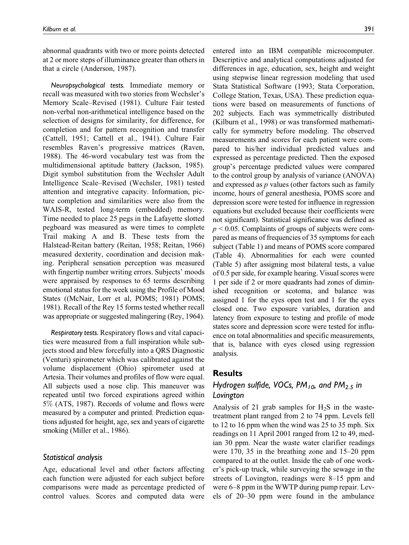abnormal quadrants with two or more points detected at 2 or more steps of illuminance greater than others in that a circle (Anderson, 1987).

Neuropsychological tests. Immediate memory or recall was measured with two stories from Wechsler's Memory Scale–Revised (1981). Culture Fair tested non-verbal non-arithmetical intelligence based on the selection of designs for similarity, for difference, for completion and for pattern recognition and transfer (Cattell, 1951; Cattell et al., 1941). Culture Fair resembles Raven's progressive matrices (Raven, 1988). The 46-word vocabulary test was from the multidimensional aptitude battery (Jackson, 1985). Digit symbol substitution from the Wechsler Adult Intelligence Scale–Revised (Wechsler, 1981) tested attention and integrative capacity. Information, picture completion and similarities were also from the WAIS-R, tested long-term (embedded) memory. Time needed to place 25 pegs in the Lafayette slotted pegboard was measured as were times to complete Trail making A and B. These tests from the Halstead-Reitan battery (Reitan, 1958; Reitan, 1966) measured dexterity, coordination and decision making. Peripheral sensation perception was measured with fingertip number writing errors. Subjects' moods were appraised by responses to 65 terms describing emotional status for the week using the Profile of Mood States ((McNair, Lorr et al, POMS; 1981) POMS; 1981). Recall of the Rey 15 forms tested whether recall was appropriate or suggested malingering (Rey, 1964).

Respiratory tests. Respiratory flows and vital capacities were measured from a full inspiration while subjects stood and blew forcefully into a QRS Diagnostic (Venturi) spirometer which was calibrated against the volume displacement (Ohio) spirometer used at Artesia. Their volumes and profiles of flow were equal. All subjects used a nose clip. This maneuver was repeated until two forced expirations agreed within 5% (ATS, 1987). Records of volume and flows were measured by a computer and printed. Prediction equations adjusted for height, age, sex and years of cigarette smoking (Miller et al., 1986).

#### Statistical analysis

Age, educational level and other factors affecting each function were adjusted for each subject before comparisons were made as percentage predicted of control values. Scores and computed data were

entered into an IBM compatible microcomputer. Descriptive and analytical computations adjusted for differences in age, education, sex, height and weight using stepwise linear regression modeling that used Stata Statistical Software (1993; Stata Corporation, College Station, Texas, USA). These prediction equations were based on measurements of functions of 202 subjects. Each was symmetrically distributed (Kilburn et al., 1998) or was transformed mathematically for symmetry before modeling. The observed measurements and scores for each patient were compared to his/her individual predicted values and expressed as percentage predicted. Then the exposed group's percentage predicted values were compared to the control group by analysis of variance (ANOVA) and expressed as p values (other factors such as family income, hours of general anesthesia, POMS score and depression score were tested for influence in regression equations but excluded because their coefficients were not significant). Statistical significance was defined as  $p \le 0.05$ . Complaints of groups of subjects were compared as means of frequencies of 35 symptoms for each subject (Table 1) and means of POMS score compared (Table 4). Abnormalities for each were counted (Table 5) after assigning most bilateral tests, a value of 0.5 per side, for example hearing. Visual scores were 1 per side if 2 or more quadrants had zones of diminished recognition or scotoma, and balance was assigned 1 for the eyes open test and 1 for the eyes closed one. Two exposure variables, duration and latency from exposure to testing and profile of mode states score and depression score were tested for influence on total abnormalities and specific measurements, that is, balance with eyes closed using regression analysis.

### Results

# Hydrogen sulfide, VOCs,  $PM_{10}$ , and  $PM_{2.5}$  in Lovington

Analysis of 21 grab samples for  $H_2S$  in the wastetreatment plant ranged from 2 to 74 ppm. Levels fell to 12 to 16 ppm when the wind was 25 to 35 mph. Six readings on 11 April 2001 ranged from 12 to 49, median 30 ppm. Near the waste water clarifier readings were 170, 35 in the breathing zone and 15–20 ppm compared to at the outlet. Inside the cab of one worker's pick-up truck, while surveying the sewage in the streets of Lovington, readings were 8–15 ppm and were 6–8 ppm in the WWTP during pump repair. Levels of 20–30 ppm were found in the ambulance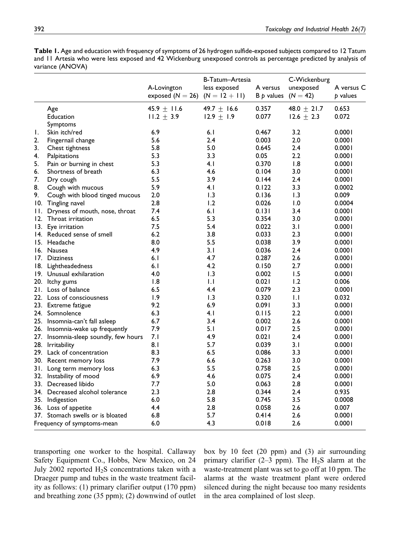Table 1. Age and education with frequency of symptoms of 26 hydrogen sulfide-exposed subjects compared to 12 Tatum and 11 Artesia who were less exposed and 42 Wickenburg unexposed controls as percentage predicted by analysis of variance (ANOVA)

|     |                                       | A-Lovington<br>exposed $(N = 26)$ $(N = 12 + 11)$ | B-Tatum-Artesia<br>less exposed | A versus<br>$B \not\!\triangleright$ values | C-Wickenburg<br>unexposed<br>$(N = 42)$ | A versus C<br>b values |
|-----|---------------------------------------|---------------------------------------------------|---------------------------------|---------------------------------------------|-----------------------------------------|------------------------|
|     | Age                                   | 45.9 $\pm$ 11.6                                   | 49.7 $\pm$ 16.6                 | 0.357                                       | 48.0 $\pm$ 21.7                         | 0.653                  |
|     | Education                             | $11.2 \pm 3.9$                                    | 12.9 $\pm$ 1.9                  | 0.077                                       | 12.6 $\pm$ 2.3                          | 0.072                  |
|     | Symptoms                              |                                                   |                                 |                                             |                                         |                        |
| Ι.  | Skin itch/red                         | 6.9                                               | 6.1                             | 0.467                                       | 3.2                                     | 0.0001                 |
| 2.  | Fingernail change                     | 5.6                                               | 2.4                             | 0.003                                       | 2.0                                     | 0.0001                 |
| 3.  | Chest tightness                       | 5.8                                               | 5.0                             | 0.645                                       | 2.4                                     | 0.0001                 |
| 4.  | Palpitations                          | 5.3                                               | 3.3                             | 0.05                                        | 2.2                                     | 0.0001                 |
| 5.  | Pain or burning in chest              | 5.3                                               | 4.1                             | 0.370                                       | 1.8                                     | 0.0001                 |
| 6.  | Shortness of breath                   | 6.3                                               | 4.6                             | 0.104                                       | 3.0                                     | 0.0001                 |
| 7.  | Dry cough                             | 5.5                                               | 3.9                             | 0.144                                       | 2.4                                     | 0.0001                 |
| 8.  | Cough with mucous                     | 5.9                                               | 4.1                             | 0.122                                       | 3.3                                     | 0.0002                 |
| 9.  | Cough with blood tinged mucous        | 2.0                                               | 1.3                             | 0.136                                       | 1.3                                     | 0.009                  |
|     | 10. Tingling navel                    | 2.8                                               | 1.2                             | 0.026                                       | 1.0                                     | 0.0004                 |
| П.  | Dryness of mouth, nose, throat        | 7.4                                               | 6.1                             | 0.131                                       | 3.4                                     | 0.0001                 |
| 12. | Throat irritation                     | 6.5                                               | 5.3                             | 0.354                                       | 3.0                                     | 0.0001                 |
| 13. | Eye irritation                        | 7.5                                               | 5.4                             | 0.022                                       | 3.1                                     | 0.0001                 |
| 14. | Reduced sense of smell                | 6.2                                               | 3.8                             | 0.033                                       | 2.3                                     | 0.0001                 |
| 15. | Headache                              | 8.0                                               | 5.5                             | 0.038                                       | 3.9                                     | 0.0001                 |
|     | 16. Nausea                            | 4.9                                               | 3.1                             | 0.036                                       | 2.4                                     | 0.0001                 |
| 17. | <b>Dizziness</b>                      | 6.1                                               | 4.7                             | 0.287                                       | 2.6                                     | 0.0001                 |
|     | 18. Lightheadedness                   | 6.1                                               | 4.2                             | 0.150                                       | 2.7                                     | 0.0001                 |
|     | 19. Unusual exhilaration              | 4.0                                               | 1.3                             | 0.002                                       | 1.5                                     | 0.0001                 |
|     | 20. Itchy gums                        | 1.8                                               | $\mathsf{L}$                    | 0.021                                       | 1.2                                     | 0.006                  |
|     | 21. Loss of balance                   | 6.5                                               | 4.4                             | 0.079                                       | 2.3                                     | 0.0001                 |
|     | 22. Loss of consciousness             | 1.9                                               | 1.3                             | 0.320                                       | $\mathbf{L}$                            | 0.032                  |
|     | 23. Extreme fatigue                   | 9.2                                               | 6.9                             | 0.091                                       | 3.3                                     | 0.0001                 |
|     | 24. Somnolence                        | 6.3                                               | 4.1                             | 0.115                                       | 2.2                                     | 0.0001                 |
|     | 25. Insomnia-can't fall asleep        | 6.7                                               | 3.4                             | 0.002                                       | 2.6                                     | 0.0001                 |
|     | 26. Insomnia-wake up frequently       | 7.9                                               | 5.1                             | 0.017                                       | 2.5                                     | 0.0001                 |
|     | 27. Insomnia-sleep soundly, few hours | 7. I                                              | 4.9                             | 0.021                                       | 2.4                                     | 0.0001                 |
|     | 28. Irritability                      | 8.1                                               | 5.7                             | 0.039                                       | 3.1                                     | 0.0001                 |
|     | 29. Lack of concentration             | 8.3                                               | 6.5                             | 0.086                                       | 3.3                                     | 0.0001                 |
|     | 30. Recent memory loss                | 7.9                                               | 6.6                             | 0.263                                       | 3.0                                     | 0.0001                 |
|     | 31. Long term memory loss             | 6.3                                               | 5.5                             | 0.758                                       | 2.5                                     | 0.0001                 |
|     | 32. Instability of mood               | 6.9                                               | 4.6                             | 0.075                                       | 2.4                                     | 0.0001                 |
|     | 33. Decreased libido                  | 7.7                                               | 5.0                             | 0.063                                       | 2.8                                     | 0.0001                 |
|     | 34. Decreased alcohol tolerance       | 2.3                                               | 2.8                             | 0.344                                       | 2.4                                     | 0.935                  |
|     | 35. Indigestion                       | 6.0                                               | 5.8                             | 0.745                                       | 3.5                                     | 0.0008                 |
|     | 36. Loss of appetite                  | 4.4                                               | 2.8                             | 0.058                                       | 2.6                                     | 0.007                  |
|     | 37. Stomach swells or is bloated      | 6.8                                               | 5.7                             | 0.414                                       | 2.6                                     | 0.0001                 |
|     | Frequency of symptoms-mean            | 6.0                                               | 4.3                             | 0.018                                       | 2.6                                     | 0.0001                 |

transporting one worker to the hospital. Callaway Safety Equipment Co., Hobbs, New Mexico, on 24 July 2002 reported  $H_2S$  concentrations taken with a Draeger pump and tubes in the waste treatment facility as follows: (1) primary clarifier output (170 ppm) and breathing zone (35 ppm); (2) downwind of outlet box by 10 feet (20 ppm) and (3) air surrounding primary clarifier (2–3 ppm). The  $H_2S$  alarm at the waste-treatment plant was set to go off at 10 ppm. The alarms at the waste treatment plant were ordered silenced during the night because too many residents in the area complained of lost sleep.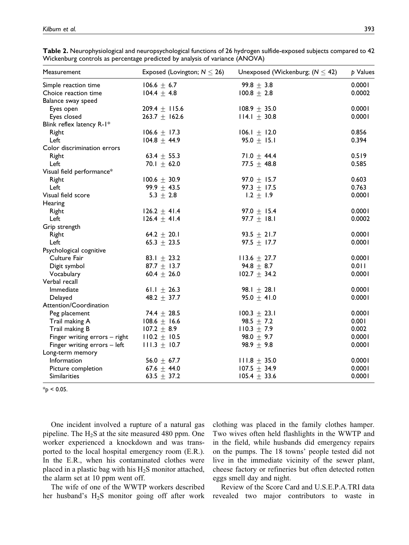| Measurement                   | Exposed (Lovington; $N \le 26$ ) | Unexposed (Wickenburg; $(N \leq 42)$ ) | p Values |  |
|-------------------------------|----------------------------------|----------------------------------------|----------|--|
| Simple reaction time          | $106.6 \pm 6.7$                  | 99.8 $\pm$ 3.8                         | 0.0001   |  |
| Choice reaction time          | $104.4 \pm 4.8$                  | $100.8 \pm 2.8$                        | 0.0002   |  |
| Balance sway speed            |                                  |                                        |          |  |
| Eyes open                     | 209.4 $\pm$ 115.6                | $108.9 + 35.0$                         | 0.0001   |  |
| Eyes closed                   | $263.7 + 162.6$                  | $114.1 + 30.8$                         | 0.0001   |  |
| Blink reflex latency R-1*     |                                  |                                        |          |  |
| Right                         | $106.6 \pm 17.3$                 | $106.1 \pm 12.0$                       | 0.856    |  |
| Left                          | $104.8 + 44.9$                   | $95.0 + 15.1$                          | 0.394    |  |
| Color discrimination errors   |                                  |                                        |          |  |
| Right                         | 63.4 $\pm$ 55.3                  | 71.0 $\pm$ 44.4                        | 0.519    |  |
| Left                          | 70.1 $\pm$ 62.0                  | 77.5 $+$ 48.8                          | 0.585    |  |
| Visual field performance*     |                                  |                                        |          |  |
| Right                         | $100.6 \pm 30.9$                 | 97.0 $\pm$ 15.7                        | 0.603    |  |
| Left                          | 99.9 $\pm$ 43.5                  | 97.3 $\pm$ 17.5                        | 0.763    |  |
| Visual field score            | 5.3 $\pm$ 2.8                    | $1.2 \pm 1.9$                          | 0.0001   |  |
| Hearing                       |                                  |                                        |          |  |
| Right                         | $126.2 \pm 41.4$                 | 97.0 $\pm$ 15.4                        | 0.0001   |  |
| Left                          | $126.4 \pm 41.4$                 | 97.7 $\pm$ 18.1                        | 0.0002   |  |
| Grip strength                 |                                  |                                        |          |  |
| Right                         | 64.2 $\pm$ 20.1                  | 93.5 $\pm$ 21.7                        | 0.0001   |  |
| Left                          | 65.3 $\pm$ 23.5                  | 97.5 $\pm$ 17.7                        | 0.0001   |  |
| Psychological cognitive       |                                  |                                        |          |  |
| Culture Fair                  | 83.1 $\pm$ 23.2                  | $113.6 \pm 27.7$                       | 0.0001   |  |
| Digit symbol                  | 87.7 $\pm$ 13.7                  | 94.8 $\pm$ 8.7                         | 0.011    |  |
| Vocabulary                    | 60.4 $\pm$ 26.0                  | $102.7 \pm 34.2$                       | 0.0001   |  |
| Verbal recall                 |                                  |                                        |          |  |
| Immediate                     | 61.1 $\pm$ 26.3                  | 98.1 $\pm$ 28.1                        | 0.0001   |  |
| Delayed                       | 48.2 $\pm$ 37.7                  | 95.0 $\pm$ 41.0                        | 0.0001   |  |
| Attention/Coordination        |                                  |                                        |          |  |
| Peg placement                 | 74.4 $\pm$ 28.5                  | $100.3 \pm 23.1$                       | 0.0001   |  |
| Trail making A                | 108.6 $\pm$ 16.6                 | 98.5 $\pm$ 7.2                         | 0.001    |  |
| Trail making B                | $107.2 \pm 8.9$                  | $110.3 \pm 7.9$                        | 0.002    |  |
| Finger writing errors - right | $110.2 \pm 10.5$                 | 98.0 $\pm$ 9.7                         | 0.0001   |  |
| Finger writing errors - left  | $111.3 \pm 10.7$                 | 98.9 $\pm$ 9.8                         | 0.0001   |  |
| Long-term memory              |                                  |                                        |          |  |
| Information                   | 56.0 $\pm$ 67.7                  | $111.8 \pm 35.0$                       | 0.0001   |  |
| Picture completion            | 67.6 $\pm$ 44.0                  | $107.5 \pm 34.9$                       | 0.0001   |  |
| Similarities                  | 63.5 $\pm$ 37.2                  | $105.4 \pm 33.6$                       | 0.0001   |  |

Table 2. Neurophysiological and neuropsychological functions of 26 hydrogen sulfide-exposed subjects compared to 42 Wickenburg controls as percentage predicted by analysis of variance (ANOVA)

 $*_{p}$  < 0.05.

One incident involved a rupture of a natural gas pipeline. The  $H_2S$  at the site measured 480 ppm. One worker experienced a knockdown and was transported to the local hospital emergency room (E.R.). In the E.R., when his contaminated clothes were placed in a plastic bag with his  $H_2S$  monitor attached, the alarm set at 10 ppm went off.

The wife of one of the WWTP workers described her husband's H2S monitor going off after work

clothing was placed in the family clothes hamper. Two wives often held flashlights in the WWTP and in the field, while husbands did emergency repairs on the pumps. The 18 towns' people tested did not live in the immediate vicinity of the sewer plant, cheese factory or refineries but often detected rotten eggs smell day and night.

Review of the Score Card and U.S.E.P.A.TRI data revealed two major contributors to waste in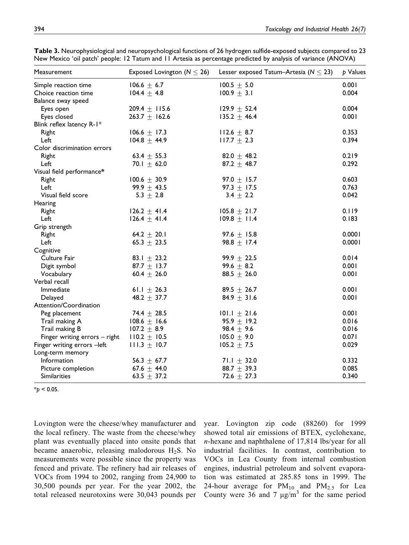| Measurement                   | Exposed Lovington ( $N \le 26$ ) | Lesser exposed Tatum-Artesia ( $N \leq 23$ ) | p Values |
|-------------------------------|----------------------------------|----------------------------------------------|----------|
| Simple reaction time          | $106.6 \pm 6.7$                  | $100.5 \pm 5.0$                              | 0.001    |
| Choice reaction time          | $104.4 \pm 4.8$                  | $100.9 \pm 3.1$                              | 0.004    |
| Balance sway speed            |                                  |                                              |          |
| Eyes open                     | 209.4 $\pm$ 115.6                | 129.9 $\pm$ 52.4                             | 0.004    |
| Eyes closed                   | 263.7 $\pm$ 162.6                | $135.2 + 46.4$                               | 0.001    |
| Blink reflex latency R-1*     |                                  |                                              |          |
| Right                         | 106.6 $\pm$ 17.3                 | $112.6 \pm 8.7$                              | 0.353    |
| Left                          | $104.8 \pm 44.9$                 | $117.7 \pm 2.3$                              | 0.394    |
| Color discrimination errors   |                                  |                                              |          |
| Right                         | 63.4 $\pm$ 55.3                  | 82.0 $\pm$ 48.2                              | 0.219    |
| Left                          | $70.1 + 62.0$                    | $87.2 + 48.7$                                | 0.292    |
| Visual field performance*     |                                  |                                              |          |
| Right                         | $100.6 \pm 30.9$                 | 97.0 $\pm$ 15.7                              | 0.603    |
| Left                          | 99.9 $\pm$ 43.5                  | 97.3 $\pm$ 17.5                              | 0.763    |
| Visual field score            | 5.3 $\pm$ 2.8                    | $3.4 \pm 2.2$                                | 0.042    |
| Hearing                       |                                  |                                              |          |
| Right                         | $126.2 \pm 41.4$                 | $105.8 \pm 21.7$                             | 0.119    |
| Left                          | $126.4 \pm 41.4$                 | $109.8 \pm 11.4$                             | 0.183    |
| Grip strength                 |                                  |                                              |          |
| Right                         | 64.2 $\pm$ 20.1                  | 97.6 $\pm$ 15.8                              | 0.0001   |
| Left                          | 65.3 $\pm$ 23.5                  | $98.8 + 17.4$                                | 0.0001   |
| Cognitive                     |                                  |                                              |          |
| Culture Fair                  | 83.1 $\pm$ 23.2                  | 99.9 $\pm$ 22.5                              | 0.014    |
| Digit symbol                  | 87.7 $\pm$ 13.7                  | 99.6 $\pm$ 8.2                               | 0.001    |
| Vocabulary                    | 60.4 $\pm$ 26.0                  | 88.5 $\pm$ 26.0                              | 0.001    |
| Verbal recall                 |                                  |                                              |          |
| Immediate                     | 61.1 $\pm$ 26.3                  | 89.5 $\pm$ 26.7                              | 0.001    |
| Delayed                       | 48.2 $\pm$ 37.7                  | 84.9 $\pm$ 31.6                              | 0.001    |
| Attention/Coordination        |                                  |                                              |          |
| Peg placement                 | 74.4 $\pm$ 28.5                  | $101.1 \pm 21.6$                             | 0.001    |
| Trail making A                | 108.6 $\pm$ 16.6                 | 95.9 $\pm$ 19.2                              | 0.016    |
| Trail making B                | $107.2 \pm 8.9$                  | 98.4 $\pm$ 9.6                               | 0.016    |
| Finger writing errors - right | $110.2 \pm 10.5$                 | $105.0 \pm 9.0$                              | 0.071    |
| Finger writing errors -left   | $111.3 \pm 10.7$                 | $105.2 \pm 7.5$                              | 0.029    |
| Long-term memory              |                                  |                                              |          |
| Information                   | 56.3 $\pm$ 67.7                  | 71.1 $\pm$ 32.0                              | 0.332    |
| Picture completion            | 67.6 $\pm$ 44.0                  | 88.7 $\pm$ 39.3                              | 0.085    |
| <b>Similarities</b>           | 63.5 $\pm$ 37.2                  | 72.6 $\pm$ 27.3                              | 0.340    |

Table 3. Neurophysiological and neuropsychological functions of 26 hydrogen sulfide-exposed subjects compared to 23 New Mexico 'oil patch' people: 12 Tatum and 11 Artesia as percentage predicted by analysis of variance (ANOVA)

 $*_{p}$  < 0.05.

Lovington were the cheese/whey manufacturer and the local refinery. The waste from the cheese/whey plant was eventually placed into onsite ponds that became anaerobic, releasing malodorous  $H_2S$ . No measurements were possible since the property was fenced and private. The refinery had air releases of VOCs from 1994 to 2002, ranging from 24,900 to 30,500 pounds per year. For the year 2002, the total released neurotoxins were 30,043 pounds per

year. Lovington zip code (88260) for 1999 showed total air emissions of BTEX, cyclohexane, n-hexane and naphthalene of 17,814 lbs/year for all industrial facilities. In contrast, contribution to VOCs in Lea County from internal combustion engines, industrial petroleum and solvent evaporation was estimated at 285.85 tons in 1999. The 24-hour average for  $PM_{10}$  and  $PM_{2.5}$  for Lea County were 36 and 7  $\mu$ g/m<sup>3</sup> for the same period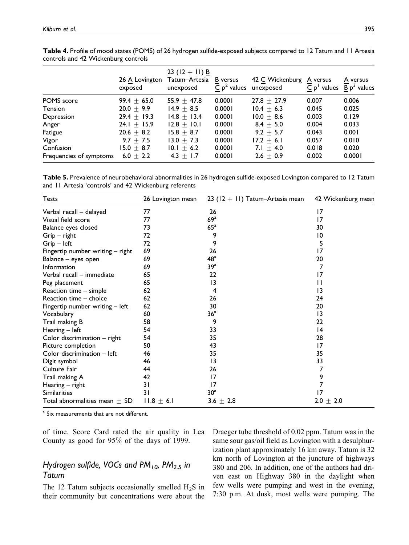|                         | 26 A Lovington<br>exposed | 23 $(12 + 11)$ B<br>Tatum-Artesia<br>unexposed | <b>B</b> versus<br>C $p^2$ values | 42 C Wickenburg<br>unexposed | A versus<br>$C p'$ values | A versus<br>$\overline{B} p^3$ values |
|-------------------------|---------------------------|------------------------------------------------|-----------------------------------|------------------------------|---------------------------|---------------------------------------|
| POMS score              | $99.4 + 65.0$             | $55.9 + 47.8$                                  | 0.0001                            | $27.8 + 27.9$                | 0.007                     | 0.006                                 |
| Tension                 | $20.0 + 9.9$              | $14.9 + 8.5$                                   | 0.0001                            | $10.4 + 6.3$                 | 0.045                     | 0.025                                 |
| Depression              | $29.4 + 19.3$             | $14.8 + 13.4$                                  | 0.0001                            | $10.0 + 8.6$                 | 0.003                     | 0.129                                 |
| Anger                   | 24.1 $\pm$ 15.9           | $12.8 + 10.1$                                  | 0.0001                            | $8.4 + 5.0$                  | 0.004                     | 0.033                                 |
| Fatigue                 | $20.6 + 8.2$              | $15.8 + 8.7$                                   | 0.0001                            | $9.2 + 5.7$                  | 0.043                     | 0.001                                 |
| Vigor                   | 9.7 $\pm$ 7.5             | $13.0 + 7.3$                                   | 0.0001                            | $17.2 + 6.1$                 | 0.057                     | 0.010                                 |
| Confusion               | $15.0 + 8.7$              | $10.1 \pm 6.2$                                 | 0.0001                            | $7.1 + 4.0$                  | 0.018                     | 0.020                                 |
| Frequencies of symptoms | 6.0 $\pm$ 2.2             | $4.3 + 1.7$                                    | 0.0001                            | $2.6 + 0.9$                  | 0.002                     | 0.0001                                |

Table 4. Profile of mood states (POMS) of 26 hydrogen sulfide-exposed subjects compared to 12 Tatum and 11 Artesia controls and 42 Wickenburg controls

Table 5. Prevalence of neurobehavioral abnormalities in 26 hydrogen sulfide-exposed Lovington compared to 12 Tatum and 11 Artesia 'controls' and 42 Wickenburg referents

| <b>Tests</b>                      | 26 Lovington mean | 23 $(12 + 11)$ Tatum-Artesia mean | 42 Wickenburg mean |
|-----------------------------------|-------------------|-----------------------------------|--------------------|
| Verbal recall - delayed           | 77                | 26                                | 17                 |
| Visual field score                | 77                | $69^{\mathrm{a}}$                 | 17                 |
| Balance eyes closed               | 73                | $65^{\circ}$                      | 30                 |
| $Grip - right$                    | 72                | 9                                 | 10                 |
| $Grip - left$                     | 72                | 9                                 | 5                  |
| Fingertip number writing - right  | 69                | 26                                | 17                 |
| Balance - eyes open               | 69                | 48 <sup>a</sup>                   | 20                 |
| Information                       | 69                | 39 <sup>a</sup>                   | 7                  |
| Verbal recall - immediate         | 65                | 22                                | 17                 |
| Peg placement                     | 65                | 13                                | П                  |
| Reaction time - simple            | 62                | 4                                 | 13                 |
| Reaction time - choice            | 62                | 26                                | 24                 |
| Fingertip number writing - left   | 62                | 30                                | 20                 |
| Vocabulary                        | 60                | 36 <sup>a</sup>                   | 13                 |
| Trail making B                    | 58                | 9                                 | 22                 |
| Hearing $-$ left                  | 54                | 33                                | 4                  |
| Color discrimination $-$ right    | 54                | 35                                | 28                 |
| Picture completion                | 50                | 43                                | 17                 |
| Color discrimination - left       | 46                | 35                                | 35                 |
| Digit symbol                      | 46                | 13                                | 33                 |
| Culture Fair                      | 44                | 26                                | 7                  |
| Trail making A                    | 42                | 17                                | 9                  |
| Hearing - right                   | 31                | 17                                | 7                  |
| Similarities                      | 31                | 30 <sup>a</sup>                   | 17                 |
| Total abnormalities mean $\pm$ SD | $11.8 \pm 6.1$    | 3.6 $\pm$ 2.8                     | $2.0 \pm 2.0$      |

<sup>a</sup> Six measurements that are not different.

of time. Score Card rated the air quality in Lea County as good for 95% of the days of 1999.

# Hydrogen sulfide, VOCs and PM<sub>10</sub>, PM<sub>2.5</sub> in Tatum

The 12 Tatum subjects occasionally smelled  $H_2S$  in their community but concentrations were about the

Draeger tube threshold of 0.02 ppm. Tatum was in the same sour gas/oil field as Lovington with a desulphurization plant approximately 16 km away. Tatum is 32 km north of Lovington at the juncture of highways 380 and 206. In addition, one of the authors had driven east on Highway 380 in the daylight when few wells were pumping and west in the evening, 7:30 p.m. At dusk, most wells were pumping. The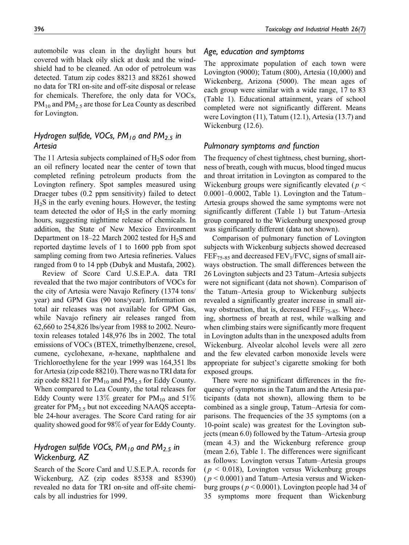automobile was clean in the daylight hours but covered with black oily slick at dusk and the windshield had to be cleaned. An odor of petroleum was detected. Tatum zip codes 88213 and 88261 showed no data for TRI on-site and off-site disposal or release for chemicals. Therefore, the only data for VOCs,  $PM_{10}$  and  $PM_{2.5}$  are those for Lea County as described for Lovington.

# Hydrogen sulfide, VOCs,  $PM_{10}$  and  $PM_{2.5}$  in Artesia

The 11 Artesia subjects complained of  $H_2S$  odor from an oil refinery located near the center of town that completed refining petroleum products from the Lovington refinery. Spot samples measured using Draeger tubes (0.2 ppm sensitivity) failed to detect  $H<sub>2</sub>S$  in the early evening hours. However, the testing team detected the odor of  $H_2S$  in the early morning hours, suggesting nighttime release of chemicals. In addition, the State of New Mexico Environment Department on  $18-22$  March 2002 tested for  $H_2S$  and reported daytime levels of 1 to 1600 ppb from spot sampling coming from two Artesia refineries. Values ranged from 0 to 14 ppb (Dubyk and Mustafa, 2002).

Review of Score Card U.S.E.P.A. data TRI revealed that the two major contributors of VOCs for the city of Artesia were Navajo Refinery (1374 tons/ year) and GPM Gas (90 tons/year). Information on total air releases was not available for GPM Gas, while Navajo refinery air releases ranged from 62,660 to 254,826 lbs/year from 1988 to 2002. Neurotoxin releases totaled 148,976 lbs in 2002. The total emissions of VOCs (BTEX, trimethylbenzene, cresol, cumene, cyclohexane, n-hexane, naphthalene and Trichloroethylene for the year 1999 was 164,351 lbs for Artesia (zip code 88210). There was no TRI data for zip code 88211 for  $PM_{10}$  and  $PM_{2.5}$  for Eddy County. When compared to Lea County, the total releases for Eddy County were 13% greater for  $PM_{10}$  and 51% greater for  $PM_{2.5}$  but not exceeding NAAQS acceptable 24-hour averages. The Score Card rating for air quality showed good for 98% of year for Eddy County.

# Hydrogen sulfide VOCs,  $PM_{10}$  and  $PM_{2.5}$  in Wickenburg, AZ

Search of the Score Card and U.S.E.P.A. records for Wickenburg, AZ (zip codes 85358 and 85390) revealed no data for TRI on-site and off-site chemicals by all industries for 1999.

#### Age, education and symptoms

The approximate population of each town were Lovington (9000); Tatum (800), Artesia (10,000) and Wickenberg, Arizona (5000). The mean ages of each group were similar with a wide range, 17 to 83 (Table 1). Educational attainment, years of school completed were not significantly different. Means were Lovington (11), Tatum (12.1), Artesia (13.7) and Wickenburg (12.6).

### Pulmonary symptoms and function

The frequency of chest tightness, chest burning, shortness of breath, cough with mucus, blood tinged mucus and throat irritation in Lovington as compared to the Wickenburg groups were significantly elevated ( $p <$ 0.0001–0.0002, Table 1). Lovington and the Tatum– Artesia groups showed the same symptoms were not significantly different (Table 1) but Tatum–Artesia group compared to the Wickenburg unexposed group was significantly different (data not shown).

Comparison of pulmonary function of Lovington subjects with Wickenburg subjects showed decreased  $FEF_{75-85}$  and decreased  $FEV_1/FVC$ , signs of small airways obstruction. The small differences between the 26 Lovington subjects and 23 Tatum–Artesia subjects were not significant (data not shown). Comparison of the Tatum–Artesia group to Wickenburg subjects revealed a significantly greater increase in small airway obstruction, that is, decreased  $\overline{FEF}_{75-85}$ . Wheezing, shortness of breath at rest, while walking and when climbing stairs were significantly more frequent in Lovington adults than in the unexposed adults from Wickenburg. Alveolar alcohol levels were all zero and the few elevated carbon monoxide levels were appropriate for subject's cigarette smoking for both exposed groups.

There were no significant differences in the frequency of symptoms in the Tatum and the Artesia participants (data not shown), allowing them to be combined as a single group, Tatum–Artesia for comparisons. The frequencies of the 35 symptoms (on a 10-point scale) was greatest for the Lovington subjects (mean 6.0) followed by the Tatum–Artesia group (mean 4.3) and the Wickenburg reference group (mean 2.6), Table 1. The differences were significant as follows: Lovington versus Tatum–Artesia groups  $(p < 0.018)$ , Lovington versus Wickenburg groups  $(p < 0.0001)$  and Tatum–Artesia versus and Wickenburg groups ( $p < 0.0001$ ). Lovington people had 34 of 35 symptoms more frequent than Wickenburg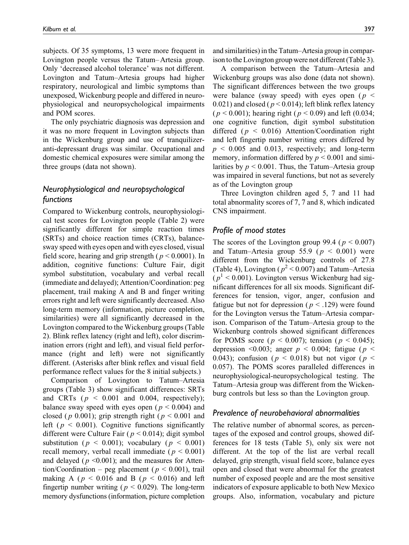subjects. Of 35 symptoms, 13 were more frequent in Lovington people versus the Tatum– Artesia group. Only 'decreased alcohol tolerance' was not different. Lovington and Tatum–Artesia groups had higher respiratory, neurological and limbic symptoms than unexposed, Wickenburg people and differed in neurophysiological and neuropsychological impairments and POM scores.

The only psychiatric diagnosis was depression and it was no more frequent in Lovington subjects than in the Wickenburg group and use of tranquilizeranti-depressant drugs was similar. Occupational and domestic chemical exposures were similar among the three groups (data not shown).

# Neurophysiological and neuropsychological functions

Compared to Wickenburg controls, neurophysiological test scores for Lovington people (Table 2) were significantly different for simple reaction times (SRTs) and choice reaction times (CRTs), balancesway speed with eyes open and with eyes closed, visual field score, hearing and grip strength ( $p < 0.0001$ ). In addition, cognitive functions: Culture Fair, digit symbol substitution, vocabulary and verbal recall (immediate and delayed); Attention/Coordination: peg placement, trail making A and B and finger writing errors right and left were significantly decreased. Also long-term memory (information, picture completion, similarities) were all significantly decreased in the Lovington compared to the Wickenburg groups (Table 2). Blink reflex latency (right and left), color discrimination errors (right and left), and visual field performance (right and left) were not significantly different. (Asterisks after blink reflex and visual field performance reflect values for the 8 initial subjects.)

Comparison of Lovington to Tatum–Artesia groups (Table 3) show significant differences: SRTs and CRTs ( $p \le 0.001$  and 0.004, respectively); balance sway speed with eyes open ( $p < 0.004$ ) and closed ( $p$  0.001); grip strength right ( $p < 0.001$  and left ( $p < 0.001$ ). Cognitive functions significantly different were Culture Fair ( $p < 0.014$ ); digit symbol substitution ( $p \le 0.001$ ); vocabulary ( $p \le 0.001$ ) recall memory, verbal recall immediate ( $p < 0.001$ ) and delayed ( $p \le 0.001$ ); and the measures for Attention/Coordination – peg placement ( $p < 0.001$ ), trail making A ( $p < 0.016$  and B ( $p < 0.016$ ) and left fingertip number writing ( $p < 0.029$ ). The long-term memory dysfunctions (information, picture completion

and similarities) in the Tatum–Artesia group in comparison to the Lovington group were not different (Table 3).

A comparison between the Tatum–Artesia and Wickenburg groups was also done (data not shown). The significant differences between the two groups were balance (sway speed) with eyes open ( $p \leq$ 0.021) and closed ( $p < 0.014$ ); left blink reflex latency  $(p < 0.001)$ ; hearing right  $(p < 0.09)$  and left  $(0.034;$ one cognitive function, digit symbol substitution differed ( $p \le 0.016$ ) Attention/Coordination right and left fingertip number writing errors differed by  $p \le 0.005$  and 0.013, respectively; and long-term memory, information differed by  $p \le 0.001$  and similarities by  $p \le 0.001$ . Thus, the Tatum–Artesia group was impaired in several functions, but not as severely as of the Lovington group

Three Lovington children aged 5, 7 and 11 had total abnormality scores of 7, 7 and 8, which indicated CNS impairment.

#### Profile of mood states

The scores of the Lovington group 99.4 ( $p < 0.007$ ) and Tatum–Artesia group 55.9 ( $p < 0.001$ ) were different from the Wickenburg controls of 27.8 (Table 4), Lovington ( $p^2$  < 0.007) and Tatum–Artesia  $(p<sup>1</sup> < 0.001)$ . Lovington versus Wickenburg had significant differences for all six moods. Significant differences for tension, vigor, anger, confusion and fatigue but not for depression ( $p < .129$ ) were found for the Lovington versus the Tatum–Artesia comparison. Comparison of the Tatum–Artesia group to the Wickenburg controls showed significant differences for POMS score ( $p < 0.007$ ); tension ( $p < 0.045$ ); depression <0.003; anger  $p \le 0.004$ ; fatigue ( $p \le$ 0.043); confusion ( $p < 0.018$ ) but not vigor ( $p <$ 0.057). The POMS scores paralleled differences in neurophysiological-neuropsychological testing. The Tatum–Artesia group was different from the Wickenburg controls but less so than the Lovington group.

### Prevalence of neurobehavioral abnormalities

The relative number of abnormal scores, as percentages of the exposed and control groups, showed differences for 18 tests (Table 5), only six were not different. At the top of the list are verbal recall delayed, grip strength, visual field score, balance eyes open and closed that were abnormal for the greatest number of exposed people and are the most sensitive indicators of exposure applicable to both New Mexico groups. Also, information, vocabulary and picture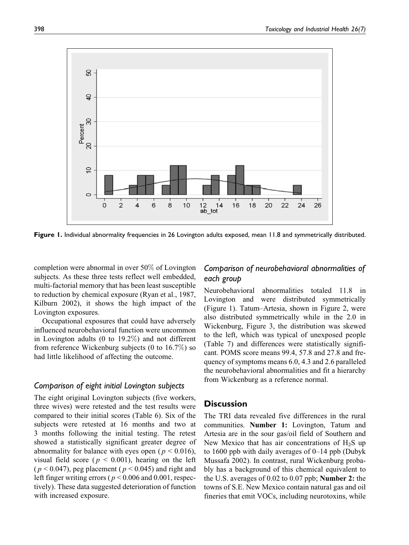

Figure 1. Individual abnormality frequencies in 26 Lovington adults exposed, mean 11.8 and symmetrically distributed.

completion were abnormal in over 50% of Lovington subjects. As these three tests reflect well embedded, multi-factorial memory that has been least susceptible to reduction by chemical exposure (Ryan et al., 1987, Kilburn 2002), it shows the high impact of the Lovington exposures.

Occupational exposures that could have adversely influenced neurobehavioral function were uncommon in Lovington adults (0 to 19.2%) and not different from reference Wickenburg subjects (0 to 16.7%) so had little likelihood of affecting the outcome.

### Comparison of eight initial Lovington subjects

The eight original Lovington subjects (five workers, three wives) were retested and the test results were compared to their initial scores (Table 6). Six of the subjects were retested at 16 months and two at 3 months following the initial testing. The retest showed a statistically significant greater degree of abnormality for balance with eyes open ( $p < 0.016$ ), visual field score ( $p < 0.001$ ), hearing on the left  $(p < 0.047)$ , peg placement ( $p < 0.045$ ) and right and left finger writing errors ( $p < 0.006$  and 0.001, respectively). These data suggested deterioration of function with increased exposure.

# Comparison of neurobehavioral abnormalities of each group

Neurobehavioral abnormalities totaled 11.8 in Lovington and were distributed symmetrically (Figure 1). Tatum–Artesia, shown in Figure 2, were also distributed symmetrically while in the 2.0 in Wickenburg, Figure 3, the distribution was skewed to the left, which was typical of unexposed people (Table 7) and differences were statistically significant. POMS score means 99.4, 57.8 and 27.8 and frequency of symptoms means 6.0, 4.3 and 2.6 paralleled the neurobehavioral abnormalities and fit a hierarchy from Wickenburg as a reference normal.

### **Discussion**

The TRI data revealed five differences in the rural communities. Number 1: Lovington, Tatum and Artesia are in the sour gas/oil field of Southern and New Mexico that has air concentrations of  $H_2S$  up to 1600 ppb with daily averages of 0–14 ppb (Dubyk Mussafa 2002). In contrast, rural Wickenburg probably has a background of this chemical equivalent to the U.S. averages of 0.02 to 0.07 ppb; Number 2: the towns of S.E. New Mexico contain natural gas and oil fineries that emit VOCs, including neurotoxins, while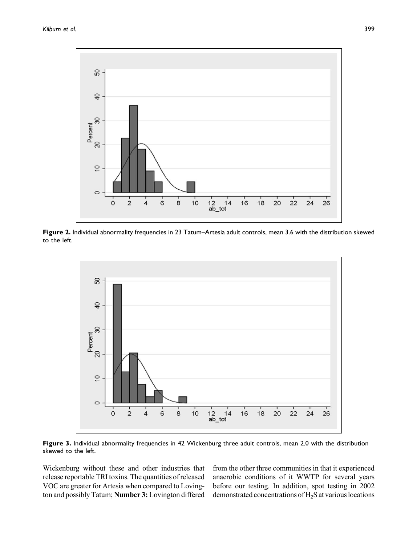

Figure 2. Individual abnormality frequencies in 23 Tatum–Artesia adult controls, mean 3.6 with the distribution skewed to the left.



Figure 3. Individual abnormality frequencies in 42 Wickenburg three adult controls, mean 2.0 with the distribution skewed to the left.

Wickenburg without these and other industries that release reportable TRI toxins. The quantities of released VOC are greater for Artesia when compared to Lovington and possibly Tatum; Number 3: Lovington differed from the other three communities in that it experienced anaerobic conditions of it WWTP for several years before our testing. In addition, spot testing in 2002 demonstrated concentrations of H2S at various locations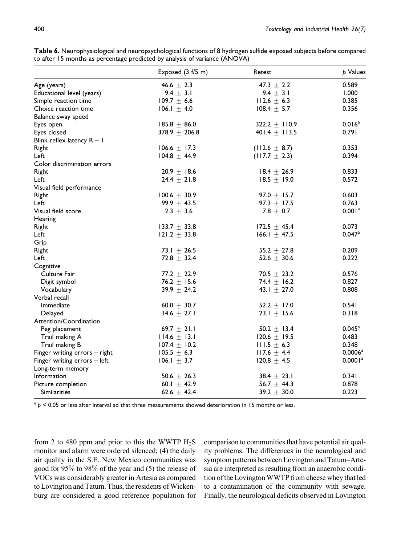|                               | Exposed (3 f/5 m) | Retest            | p Values             |
|-------------------------------|-------------------|-------------------|----------------------|
| Age (years)                   | 46.6 $\pm$ 2.3    | 47.3 $\pm$ 2.2    | 0.589                |
| Educational level (years)     | 9.4 $\pm$ 3.1     | 9.4 $\pm$ 3.1     | 1.000                |
| Simple reaction time          | $109.7 \pm 6.6$   | $112.6 \pm 6.3$   | 0.385                |
| Choice reaction time          | $106.1 + 4.0$     | $108.4 \pm 5.7$   | 0.356                |
| Balance sway speed            |                   |                   |                      |
| Eyes open                     | $185.8 \pm 86.0$  | 322.2 $\pm$ 110.9 | 0.016 <sup>a</sup>   |
| Eyes closed                   | 378.9 $\pm$ 206.8 | 401.4 $\pm$ 113.5 | 0.791                |
| Blink reflex latency $R - I$  |                   |                   |                      |
| Right                         | $106.6 \pm 17.3$  | $(112.6 \pm 8.7)$ | 0.353                |
| Left                          | $104.8 + 44.9$    | $(117.7 \pm 2.3)$ | 0.394                |
| Color discrimination errors   |                   |                   |                      |
| Right                         | 20.9 $\pm$ 18.6   | $18.4 \pm 26.9$   | 0.833                |
| Left                          | $24.4 \pm 21.8$   | $18.5 + 19.0$     | 0.572                |
| Visual field performance      |                   |                   |                      |
| Right                         | $100.6 \pm 30.9$  | 97.0 $\pm$ 15.7   | 0.603                |
| Left                          | 99.9 $\pm$ 43.5   | 97.3 $\pm$ 17.5   | 0.763                |
| Visual field score            | $2.3 \pm 3.6$     | 7.8 $\pm$ 0.7     | 0.001 <sup>a</sup>   |
| Hearing                       |                   |                   |                      |
| Right                         | 133.7 $\pm$ 33.8  | $172.5 \pm 45.4$  | 0.073                |
| Left                          | 121.2 $\pm$ 33.8  | 166.1 $\pm$ 47.5  | $0.047$ <sup>a</sup> |
| Grip                          |                   |                   |                      |
| Right                         | 73.1 $\pm$ 26.5   | 55.2 $\pm$ 27.8   | 0.209                |
| Left                          | $72.8 \pm 32.4$   | 52.6 $\pm$ 30.6   | 0.222                |
| Cognitive                     |                   |                   |                      |
| Culture Fair                  | 77.2 $\pm$ 22.9   | 70.5 $\pm$ 23.2   | 0.576                |
| Digit symbol                  | 76.2 $\pm$ 15.6   | 74.4 $\pm$ 16.2   | 0.827                |
| Vocabulary                    | $39.9 \pm 24.2$   | 43.1 $\pm$ 27.0   | 0.808                |
| Verbal recall                 |                   |                   |                      |
| <b>Immediate</b>              | 60.0 $\pm$ 30.7   | 52.2 $\pm$ 17.0   | 0.541                |
| Delayed                       | 34.6 $\pm$ 27.1   | 23.1 $\pm$ 15.6   | 0.318                |
| Attention/Coordination        |                   |                   |                      |
| Peg placement                 | 69.7 $\pm$ 21.1   | 50.2 $\pm$ 13.4   | $0.045^{\text{a}}$   |
| Trail making A                | $114.6 \pm 13.1$  | 120.6 $\pm$ 19.5  | 0.483                |
| Trail making B                | $107.4 \pm 10.2$  | $111.5 \pm 6.3$   | 0.348                |
| Finger writing errors - right | $105.5 \pm 6.3$   | $117.6 \pm 4.4$   | 0.0006 <sup>a</sup>  |
| Finger writing errors - left  | $106.1 \pm 3.7$   | $120.8 \pm 4.5$   | 0.0001 <sup>a</sup>  |
| Long-term memory              |                   |                   |                      |
| Information                   | 50.6 $\pm$ 26.3   | 38.4 $\pm$ 23.1   | 0.341                |
| Picture completion            | 60.1 $\pm$ 42.9   | 56.7 $\pm$ 44.3   | 0.878                |
| <b>Similarities</b>           | 62.6 $\pm$ 42.4   | 39.2 $\pm$ 30.0   | 0.223                |

Table 6. Neurophysiological and neuropsychological functions of 8 hydrogen sulfide exposed subjects before compared to after 15 months as percentage predicted by analysis of variance (ANOVA)

 $a<sup>a</sup> p < 0.05$  or less after interval so that three measurements showed deterioration in 15 months or less.

from 2 to 480 ppm and prior to this the WWTP  $H_2S$ monitor and alarm were ordered silenced; (4) the daily air quality in the S.E. New Mexico communities was good for 95% to 98% of the year and (5) the release of VOCs was considerably greater in Artesia as compared to Lovington and Tatum. Thus, the residents of Wickenburg are considered a good reference population for

comparison to communities that have potential air quality problems. The differences in the neurological and symptom patterns between Lovington and Tatum–Artesia are interpreted as resulting from an anaerobic condition of the LovingtonWWTP from cheese whey that led to a contamination of the community with sewage. Finally, the neurological deficits observed in Lovington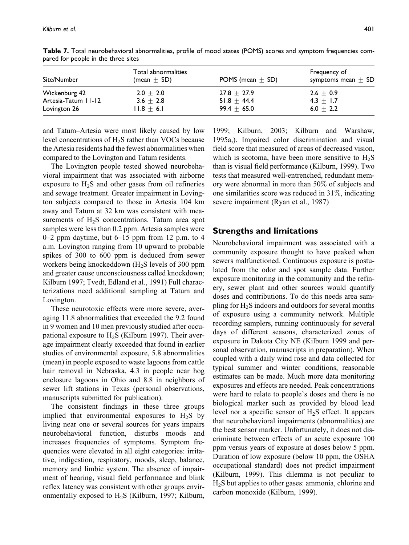| Site/Number         | Total abnormalities<br>(mean $\pm$ SD) | POMS (mean $\pm$ SD) | Frequency of<br>symptoms mean $\pm$ SD |
|---------------------|----------------------------------------|----------------------|----------------------------------------|
| Wickenburg 42       | $2.0 + 2.0$                            | $27.8 + 27.9$        | $2.6 + 0.9$                            |
| Artesia-Tatum 11-12 | $3.6 + 2.8$                            | $51.8 + 44.4$        | $4.3 + 1.7$                            |
| Lovington 26        | $11.8 + 6.1$                           | $99.4 + 65.0$        | 6.0 $\pm$ 2.2                          |

Table 7. Total neurobehavioral abnormalities, profile of mood states (POMS) scores and symptom frequencies compared for people in the three sites

and Tatum–Artesia were most likely caused by low level concentrations of  $H_2S$  rather than VOCs because the Artesia residents had the fewest abnormalities when compared to the Lovington and Tatum residents.

The Lovington people tested showed neurobehavioral impairment that was associated with airborne exposure to  $H_2S$  and other gases from oil refineries and sewage treatment. Greater impairment in Lovington subjects compared to those in Artesia 104 km away and Tatum at 32 km was consistent with measurements of  $H_2S$  concentrations. Tatum area spot samples were less than 0.2 ppm. Artesia samples were  $0-2$  ppm daytime, but  $6-15$  ppm from 12 p.m. to 4 a.m. Lovington ranging from 10 upward to probable spikes of 300 to 600 ppm is deduced from sewer workers being knockeddown  $(H_2S)$  levels of 300 ppm and greater cause unconsciousness called knockdown; Kilburn 1997; Tvedt, Edland et al., 1991) Full characterizations need additional sampling at Tatum and Lovington.

These neurotoxic effects were more severe, averaging 11.8 abnormalities that exceeded the 9.2 found in 9 women and 10 men previously studied after occupational exposure to  $H_2S$  (Kilburn 1997). Their average impairment clearly exceeded that found in earlier studies of environmental exposure, 5.8 abnormalities (mean) in people exposed to waste lagoons from cattle hair removal in Nebraska, 4.3 in people near hog enclosure lagoons in Ohio and 8.8 in neighbors of sewer lift stations in Texas (personal observations, manuscripts submitted for publication).

The consistent findings in these three groups implied that environmental exposures to  $H_2S$  by living near one or several sources for years impairs neurobehavioral function, disturbs moods and increases frequencies of symptoms. Symptom frequencies were elevated in all eight categories: irritative, indigestion, respiratory, moods, sleep, balance, memory and limbic system. The absence of impairment of hearing, visual field performance and blink reflex latency was consistent with other groups environmentally exposed to  $H_2S$  (Kilburn, 1997; Kilburn,

1999; Kilburn, 2003; Kilburn and Warshaw, 1995a,). Impaired color discrimination and visual field score that measured of areas of decreased vision, which is scotoma, have been more sensitive to  $H_2S$ than is visual field performance (Kilburn, 1999). Two tests that measured well-entrenched, redundant memory were abnormal in more than 50% of subjects and one similarities score was reduced in 31%, indicating severe impairment (Ryan et al., 1987)

## Strengths and limitations

Neurobehavioral impairment was associated with a community exposure thought to have peaked when sewers malfunctioned. Continuous exposure is postulated from the odor and spot sample data. Further exposure monitoring in the community and the refinery, sewer plant and other sources would quantify doses and contributions. To do this needs area sampling for  $H_2S$  indoors and outdoors for several months of exposure using a community network. Multiple recording samplers, running continuously for several days of different seasons, characterized zones of exposure in Dakota City NE (Kilburn 1999 and personal observation, manuscripts in preparation). When coupled with a daily wind rose and data collected for typical summer and winter conditions, reasonable estimates can be made. Much more data monitoring exposures and effects are needed. Peak concentrations were hard to relate to people's doses and there is no biological marker such as provided by blood lead level nor a specific sensor of  $H_2S$  effect. It appears that neurobehavioral impairments (abnormalities) are the best sensor marker. Unfortunately, it does not discriminate between effects of an acute exposure 100 ppm versus years of exposure at doses below 5 ppm. Duration of low exposure (below 10 ppm, the OSHA occupational standard) does not predict impairment (Kilburn, 1999). This dilemma is not peculiar to H2S but applies to other gases: ammonia, chlorine and carbon monoxide (Kilburn, 1999).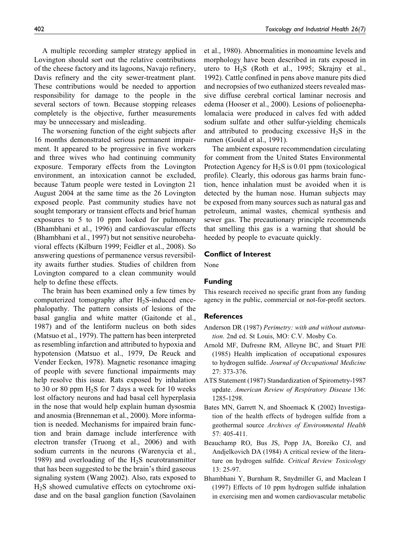A multiple recording sampler strategy applied in Lovington should sort out the relative contributions of the cheese factory and its lagoons, Navajo refinery, Davis refinery and the city sewer-treatment plant. These contributions would be needed to apportion responsibility for damage to the people in the several sectors of town. Because stopping releases completely is the objective, further measurements may be unnecessary and misleading.

The worsening function of the eight subjects after 16 months demonstrated serious permanent impairment. It appeared to be progressive in five workers and three wives who had continuing community exposure. Temporary effects from the Lovington environment, an intoxication cannot be excluded, because Tatum people were tested in Lovington 21 August 2004 at the same time as the 26 Lovington exposed people. Past community studies have not sought temporary or transient effects and brief human exposures to 5 to 10 ppm looked for pulmonary (Bhambhani et al., 1996) and cardiovascular effects (Bhambhani et al., 1997) but not sensitive neurobehavioral effects (Kilburn 1999; Feidler et al., 2008). So answering questions of permanence versus reversibility awaits further studies. Studies of children from Lovington compared to a clean community would help to define these effects.

The brain has been examined only a few times by computerized tomography after  $H_2S$ -induced encephalopathy. The pattern consists of lesions of the basal ganglia and white matter (Gaitonde et al., 1987) and of the lentiform nucleus on both sides (Matsuo et al., 1979). The pattern has been interpreted as resembling infarction and attributed to hypoxia and hypotension (Matsuo et al., 1979, De Reuck and Vender Eecken, 1978). Magnetic resonance imaging of people with severe functional impairments may help resolve this issue. Rats exposed by inhalation to 30 or 80 ppm  $H_2S$  for 7 days a week for 10 weeks lost olfactory neurons and had basal cell hyperplasia in the nose that would help explain human dysosmia and anosmia (Brenneman et al., 2000). More information is needed. Mechanisms for impaired brain function and brain damage include interference with electron transfer (Truong et al., 2006) and with sodium currents in the neurons (Warenycia et al., 1989) and overloading of the  $H_2S$  neurotransmitter that has been suggested to be the brain's third gaseous signaling system (Wang 2002). Also, rats exposed to H2S showed cumulative effects on cytochrome oxidase and on the basal ganglion function (Savolainen et al., 1980). Abnormalities in monoamine levels and morphology have been described in rats exposed in utero to  $H_2S$  (Roth et al., 1995; Skrajny et al., 1992). Cattle confined in pens above manure pits died and necropsies of two euthanized steers revealed massive diffuse cerebral cortical laminar necrosis and edema (Hooser et al., 2000). Lesions of polioenephalomalacia were produced in calves fed with added sodium sulfate and other sulfur-yielding chemicals and attributed to producing excessive  $H_2S$  in the rumen (Gould et al., 1991).

The ambient exposure recommendation circulating for comment from the United States Environmental Protection Agency for  $H_2S$  is 0.01 ppm (toxicological profile). Clearly, this odorous gas harms brain function, hence inhalation must be avoided when it is detected by the human nose. Human subjects may be exposed from many sources such as natural gas and petroleum, animal wastes, chemical synthesis and sewer gas. The precautionary principle recommends that smelling this gas is a warning that should be heeded by people to evacuate quickly.

#### Conflict of Interest

None

### Funding

This research received no specific grant from any funding agency in the public, commercial or not-for-profit sectors.

#### **References**

- Anderson DR (1987) Perimetry: with and without automation. 2nd ed. St Louis, MO: C.V. Mosby Co.
- Arnold MF, Dufresne RM, Alleyne BC, and Stuart PJE (1985) Health implication of occupational exposures to hydrogen sulfide. Journal of Occupational Medicine 27: 373-376.
- ATS Statement (1987) Standardization of Spirometry-1987 update. American Review of Respiratory Disease 136: 1285-1298.
- Bates MN, Garrett N, and Shoemack K (2002) Investigation of the health effects of hydrogen sulfide from a geothermal source Archives of Environmental Health 57: 405-411.
- Beauchamp RO, Bus JS, Popp JA, Boreiko CJ, and Andjelkovich DA (1984) A critical review of the literature on hydrogen sulfide. Critical Review Toxicology 13: 25-97.
- Bhambhani Y, Burnham R, Snydmiller G, and Maclean I (1997) Effects of 10 ppm hydrogen sulfide inhalation in exercising men and women cardiovascular metabolic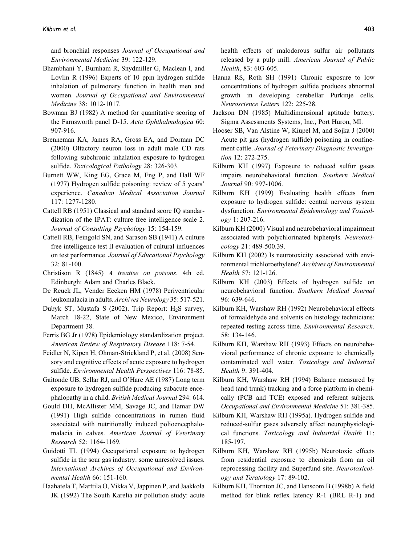and bronchial responses Journal of Occupational and Environmental Medicine 39: 122-129.

- Bhambhani Y, Burnham R, Snydmiller G, Maclean I, and Lovlin R (1996) Experts of 10 ppm hydrogen sulfide inhalation of pulmonary function in health men and women. Journal of Occupational and Environmental Medicine 38: 1012-1017.
- Bowman BJ (1982) A method for quantitative scoring of the Farnsworth panel D-15. Acta Ophthalmologica 60: 907-916.
- Brenneman KA, James RA, Gross EA, and Dorman DC (2000) Olfactory neuron loss in adult male CD rats following subchronic inhalation exposure to hydrogen sulfide. Toxicological Pathology 28: 326-303.
- Burnett WW, King EG, Grace M, Eng P, and Hall WF (1977) Hydrogen sulfide poisoning: review of 5 years' experience. Canadian Medical Association Journal 117: 1277-1280.
- Cattell RB (1951) Classical and standard score IQ standardization of the IPAT: culture free intelligence scale 2. Journal of Consulting Psychology 15: 154-159.
- Cattell RB, Feingold SN, and Sarason SB (1941) A culture free intelligence test II evaluation of cultural influences on test performance. Journal of Educational Psychology 32: 81-100.
- Christison R (1845) A treatise on poisons. 4th ed. Edinburgh: Adam and Charles Black.
- De Reuck JL, Vender Eecken HM (1978) Periventricular leukomalacia in adults. Archives Neurology 35: 517-521.
- Dubyk ST, Mustafa S (2002). Trip Report:  $H_2S$  survey, March 18-22, State of New Mexico, Environment Department 38.
- Ferris BG Jr (1978) Epidemiology standardization project. American Review of Respiratory Disease 118: 7-54.
- Feidler N, Kipen H, Ohman-Strickland P, et al. (2008) Sensory and cognitive effects of acute exposure to hydrogen sulfide. Environmental Health Perspectives 116: 78-85.
- Gaitonde UB, Sellar RJ, and O'Hare AE (1987) Long term exposure to hydrogen sulfide producing subacute encephalopathy in a child. British Medical Journal 294: 614.
- Gould DH, McAllister MM, Savage JC, and Hamar DW (1991) High sulfide concentrations in rumen fluid associated with nutritionally induced polioencephalomalacia in calves. American Journal of Veterinary Research 52: 1164-1169.
- Guidotti TL (1994) Occupational exposure to hydrogen sulfide in the sour gas industry: some unresolved issues. International Archives of Occupational and Environmental Health 66: 151-160.
- Haahatela T, Marttila O, Vikka V, Jappinen P, and Jaakkola JK (1992) The South Karelia air pollution study: acute

health effects of malodorous sulfur air pollutants released by a pulp mill. American Journal of Public Health, 83: 603-605.

- Hanna RS, Roth SH (1991) Chronic exposure to low concentrations of hydrogen sulfide produces abnormal growth in developing cerebellar Purkinje cells. Neuroscience Letters 122: 225-28.
- Jackson DN (1985) Multidimensional aptitude battery. Sigma Assessments Systems, Inc., Port Huron, MI.
- Hooser SB, Van Alstine W, Kiupel M, and Sojka J (2000) Acute pit gas (hydrogen sulfide) poisoning in confinement cattle. Journal of Veterinary Diagnostic Investigation 12: 272-275.
- Kilburn KH (1997) Exposure to reduced sulfur gases impairs neurobehavioral function. Southern Medical Journal 90: 997-1006.
- Kilburn KH (1999) Evaluating health effects from exposure to hydrogen sulfide: central nervous system dysfunction. Environmental Epidemiology and Toxicology 1: 207-216.
- Kilburn KH (2000) Visual and neurobehavioral impairment associated with polychlorinated biphenyls. Neurotoxicology 21: 489-500.39.
- Kilburn KH (2002) Is neurotoxicity associated with environmental trichloroethylene? Archives of Environmental Health 57: 121-126.
- Kilburn KH (2003) Effects of hydrogen sulfide on neurobehavioral function. Southern Medical Journal 96: 639-646.
- Kilburn KH, Warshaw RH (1992) Neurobehavioral effects of formaldehyde and solvents on histology technicians: repeated testing across time. Environmental Research. 58: 134-146.
- Kilburn KH, Warshaw RH (1993) Effects on neurobehavioral performance of chronic exposure to chemically contaminated well water. Toxicology and Industrial Health 9: 391-404.
- Kilburn KH, Warshaw RH (1994) Balance measured by head (and trunk) tracking and a force platform in chemically (PCB and TCE) exposed and referent subjects. Occupational and Environmental Medicine 51: 381-385.
- Kilburn KH, Warshaw RH (1995a). Hydrogen sulfide and reduced-sulfur gases adversely affect neurophysiological functions. Toxicology and Industrial Health 11: 185-197.
- Kilburn KH, Warshaw RH (1995b) Neurotoxic effects from residential exposure to chemicals from an oil reprocessing facility and Superfund site. Neurotoxicology and Teratology 17: 89-102.
- Kilburn KH, Thornton JC, and Hanscom B (1998b) A field method for blink reflex latency R-1 (BRL R-1) and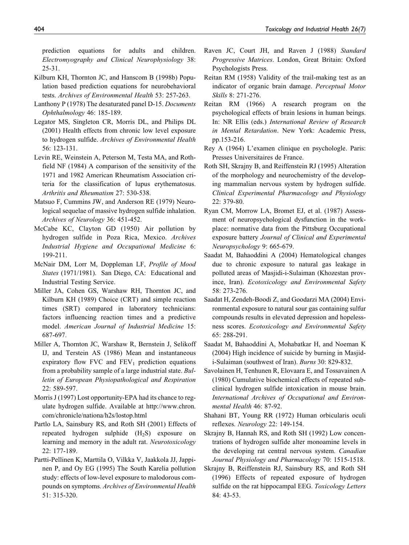prediction equations for adults and children. Electromyography and Clinical Neurophysiology 38: 25-31.

- Kilburn KH, Thornton JC, and Hanscom B (1998b) Population based prediction equations for neurobehavioral tests. Archives of Environmental Health 53: 257-263.
- Lanthony P (1978) The desaturated panel D-15. Documents Ophthalmology 46: 185-189.
- Legator MS, Singleton CR, Morris DL, and Philips DL (2001) Health effects from chronic low level exposure to hydrogen sulfide. Archives of Environmental Health 56: 123-131.
- Levin RE, Weinstein A, Peterson M, Testa MA, and Rothfield NF (1984) A comparison of the sensitivity of the 1971 and 1982 American Rheumatism Association criteria for the classification of lupus erythematosus. Arthritis and Rheumatism 27: 530-538.
- Matsuo F, Cummins JW, and Anderson RE (1979) Neurological sequelae of massive hydrogen sulfide inhalation. Archives of Neurology 36: 451-452.
- McCabe KC, Clayton GD (1950) Air pollution by hydrogen sulfide in Poza Rica, Mexico. Archives Industrial Hygiene and Occupational Medicine 6: 199-211.
- McNair DM, Lorr M, Doppleman LF, Profile of Mood States (1971/1981). San Diego, CA: Educational and Industrial Testing Service.
- Miller JA, Cohen GS, Warshaw RH, Thornton JC, and Kilburn KH (1989) Choice (CRT) and simple reaction times (SRT) compared in laboratory technicians: factors influencing reaction times and a predictive model. American Journal of Industrial Medicine 15: 687-697.
- Miller A, Thornton JC, Warshaw R, Bernstein J, Selikoff IJ, and Terstein AS (1986) Mean and instantaneous expiratory flow FVC and  $FEV<sub>1</sub>$  prediction equations from a probability sample of a large industrial state. Bulletin of European Physiopathological and Respiration 22: 589-597.
- Morris J (1997) Lost opportunity-EPA had its chance to regulate hydrogen sulfide. Available at http://www.chron. com/chronicle/nationa/h2s/lostop.html
- Partlo LA, Sainsbury RS, and Roth SH (2001) Effects of repeated hydrogen sulphide  $(H_2S)$  exposure on learning and memory in the adult rat. Neurotoxicology 22: 177-189.
- Partti-Pellinen K, Marttila O, Vilkka V, Jaakkola JJ, Jappinen P, and Oy EG (1995) The South Karelia pollution study: effects of low-level exposure to malodorous compounds on symptoms. Archives of Environmental Health 51: 315-320.
- Raven JC, Court JH, and Raven J (1988) Standard Progressive Matrices. London, Great Britain: Oxford Psychologists Press.
- Reitan RM (1958) Validity of the trail-making test as an indicator of organic brain damage. Perceptual Motor Skills 8: 271-276.
- Reitan RM (1966) A research program on the psychological effects of brain lesions in human beings. In: NR Ellis (eds.) International Review of Research in Mental Retardation. New York: Academic Press, pp.153-216.
- Rey A (1964) L'examen clinique en psychologle. Paris: Presses Universitaires de France.
- Roth SH, Skrajny B, and Reiffenstein RJ (1995) Alteration of the morphology and neurochemistry of the developing mammalian nervous system by hydrogen sulfide. Clinical Experimental Pharmacology and Physiology 22: 379-80.
- Ryan CM, Morrow LA, Bromet EJ, et al. (1987) Assessment of neuropsychological dysfunction in the workplace: normative data from the Pittsburg Occupational exposure battery Journal of Clinical and Experimental Neuropsychology 9: 665-679.
- Saadat M, Bahaoddini A (2004) Hematological changes due to chronic exposure to natural gas leakage in polluted areas of Masjidi-i-Sulaiman (Khozestan province, Iran). Ecotoxicology and Environmental Safety 58: 273-276.
- Saadat H, Zendeh-Boodi Z, and Goodarzi MA (2004) Environmental exposure to natural sour gas containing sulfur compounds results in elevated depression and hopelessness scores. Ecotoxicology and Environmental Safety 65: 288-291.
- Saadat M, Bahaoddini A, Mohabatkar H, and Noeman K (2004) High incidence of suicide by burning in Masjidi-Sulaiman (southwest of Iran). Burns 30: 829-832.
- Savolainen H, Tenhunen R, Elovaara E, and Tossavainen A (1980) Cumulative biochemical effects of repeated subclinical hydrogen sulfide intoxication in mouse brain. International Archives of Occupational and Environmental Health 46: 87-92.
- Shahani BT, Young RR (1972) Human orbicularis oculi reflexes. Neurology 22: 149-154.
- Skrajny B, Hannah RS, and Roth SH (1992) Low concentrations of hydrogen sulfide alter monoamine levels in the developing rat central nervous system. Canadian Journal Physiology and Pharmacology 70: 1515-1518.
- Skrajny B, Reiffenstein RJ, Sainsbury RS, and Roth SH (1996) Effects of repeated exposure of hydrogen sulfide on the rat hippocampal EEG. Toxicology Letters 84: 43-53.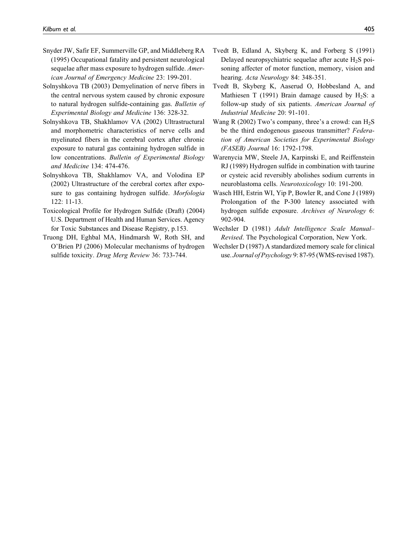- Snyder JW, Safir EF, Summerville GP, and Middleberg RA (1995) Occupational fatality and persistent neurological sequelae after mass exposure to hydrogen sulfide. American Journal of Emergency Medicine 23: 199-201.
- Solnyshkova TB (2003) Demyelination of nerve fibers in the central nervous system caused by chronic exposure to natural hydrogen sulfide-containing gas. Bulletin of Experimental Biology and Medicine 136: 328-32.
- Solnyshkova TB, Shakhlamov VA (2002) Ultrastructural and morphometric characteristics of nerve cells and myelinated fibers in the cerebral cortex after chronic exposure to natural gas containing hydrogen sulfide in low concentrations. Bulletin of Experimental Biology and Medicine 134: 474-476.
- Solnyshkova TB, Shakhlamov VA, and Volodina EP (2002) Ultrastructure of the cerebral cortex after exposure to gas containing hydrogen sulfide. Morfologia 122: 11-13.
- Toxicological Profile for Hydrogen Sulfide (Draft) (2004) U.S. Department of Health and Human Services. Agency for Toxic Substances and Disease Registry, p.153.
- Truong DH, Eghbal MA, Hindmarsh W, Roth SH, and O'Brien PJ (2006) Molecular mechanisms of hydrogen sulfide toxicity. Drug Merg Review 36: 733-744.
- Tvedt B, Edland A, Skyberg K, and Forberg S (1991) Delayed neuropsychiatric sequelae after acute  $H_2S$  poisoning affecter of motor function, memory, vision and hearing. Acta Neurology 84: 348-351.
- Tvedt B, Skyberg K, Aaserud O, Hobbesland A, and Mathiesen T (1991) Brain damage caused by  $H_2S$ : a follow-up study of six patients. American Journal of Industrial Medicine 20: 91-101.
- Wang R (2002) Two's company, three's a crowd: can  $H_2S$ be the third endogenous gaseous transmitter? Federation of American Societies for Experimental Biology (FASEB) Journal 16: 1792-1798.
- Warenycia MW, Steele JA, Karpinski E, and Reiffenstein RJ (1989) Hydrogen sulfide in combination with taurine or cysteic acid reversibly abolishes sodium currents in neuroblastoma cells. Neurotoxicology 10: 191-200.
- Wasch HH, Estrin WI, Yip P, Bowler R, and Cone J (1989) Prolongation of the P-300 latency associated with hydrogen sulfide exposure. Archives of Neurology 6: 902-904.
- Wechsler D (1981) Adult Intelligence Scale Manual– Revised. The Psychological Corporation, New York.
- Wechsler D (1987) A standardized memory scale for clinical use. Journal of Psychology 9: 87-95 (WMS-revised 1987).